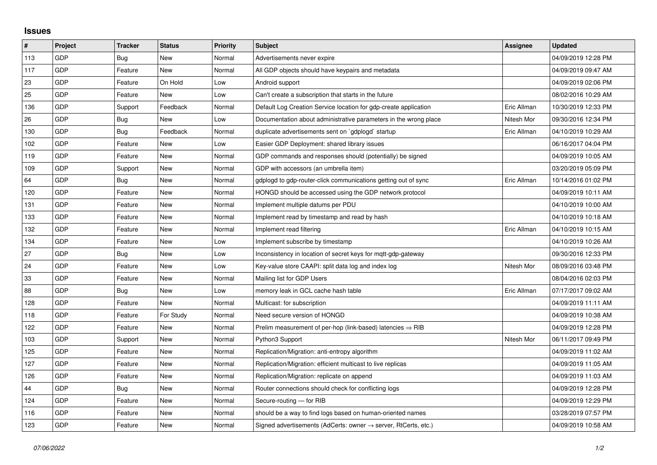## **Issues**

| $\sharp$ | Project    | <b>Tracker</b> | <b>Status</b> | <b>Priority</b> | <b>Subject</b>                                                             | Assignee    | <b>Updated</b>      |
|----------|------------|----------------|---------------|-----------------|----------------------------------------------------------------------------|-------------|---------------------|
| 113      | <b>GDP</b> | Bug            | <b>New</b>    | Normal          | Advertisements never expire                                                |             | 04/09/2019 12:28 PM |
| 117      | <b>GDP</b> | Feature        | <b>New</b>    | Normal          | All GDP objects should have keypairs and metadata                          |             | 04/09/2019 09:47 AM |
| 23       | <b>GDP</b> | Feature        | On Hold       | Low             | Android support                                                            |             | 04/09/2019 02:06 PM |
| 25       | GDP        | Feature        | <b>New</b>    | Low             | Can't create a subscription that starts in the future                      |             | 08/02/2016 10:29 AM |
| 136      | <b>GDP</b> | Support        | Feedback      | Normal          | Default Log Creation Service location for gdp-create application           | Eric Allman | 10/30/2019 12:33 PM |
| 26       | GDP        | Bug            | <b>New</b>    | Low             | Documentation about administrative parameters in the wrong place           | Nitesh Mor  | 09/30/2016 12:34 PM |
| 130      | <b>GDP</b> | Bug            | Feedback      | Normal          | duplicate advertisements sent on `gdplogd` startup                         | Eric Allman | 04/10/2019 10:29 AM |
| 102      | <b>GDP</b> | Feature        | <b>New</b>    | Low             | Easier GDP Deployment: shared library issues                               |             | 06/16/2017 04:04 PM |
| 119      | <b>GDP</b> | Feature        | <b>New</b>    | Normal          | GDP commands and responses should (potentially) be signed                  |             | 04/09/2019 10:05 AM |
| 109      | GDP        | Support        | <b>New</b>    | Normal          | GDP with accessors (an umbrella item)                                      |             | 03/20/2019 05:09 PM |
| 64       | <b>GDP</b> | Bug            | <b>New</b>    | Normal          | gdplogd to gdp-router-click communications getting out of sync             | Eric Allman | 10/14/2016 01:02 PM |
| 120      | <b>GDP</b> | Feature        | <b>New</b>    | Normal          | HONGD should be accessed using the GDP network protocol                    |             | 04/09/2019 10:11 AM |
| 131      | GDP        | Feature        | New           | Normal          | Implement multiple datums per PDU                                          |             | 04/10/2019 10:00 AM |
| 133      | <b>GDP</b> | Feature        | <b>New</b>    | Normal          | Implement read by timestamp and read by hash                               |             | 04/10/2019 10:18 AM |
| 132      | <b>GDP</b> | Feature        | <b>New</b>    | Normal          | Implement read filtering                                                   | Eric Allman | 04/10/2019 10:15 AM |
| 134      | <b>GDP</b> | Feature        | <b>New</b>    | Low             | Implement subscribe by timestamp                                           |             | 04/10/2019 10:26 AM |
| 27       | GDP        | Bug            | <b>New</b>    | Low             | Inconsistency in location of secret keys for mqtt-gdp-gateway              |             | 09/30/2016 12:33 PM |
| 24       | <b>GDP</b> | Feature        | <b>New</b>    | Low             | Key-value store CAAPI: split data log and index log                        | Nitesh Mor  | 08/09/2016 03:48 PM |
| 33       | GDP        | Feature        | <b>New</b>    | Normal          | Mailing list for GDP Users                                                 |             | 08/04/2016 02:03 PM |
| 88       | GDP        | <b>Bug</b>     | <b>New</b>    | Low             | memory leak in GCL cache hash table                                        | Eric Allman | 07/17/2017 09:02 AM |
| 128      | <b>GDP</b> | Feature        | <b>New</b>    | Normal          | Multicast: for subscription                                                |             | 04/09/2019 11:11 AM |
| 118      | <b>GDP</b> | Feature        | For Study     | Normal          | Need secure version of HONGD                                               |             | 04/09/2019 10:38 AM |
| 122      | GDP        | Feature        | <b>New</b>    | Normal          | Prelim measurement of per-hop (link-based) latencies $\Rightarrow$ RIB     |             | 04/09/2019 12:28 PM |
| 103      | <b>GDP</b> | Support        | <b>New</b>    | Normal          | Python3 Support                                                            | Nitesh Mor  | 06/11/2017 09:49 PM |
| 125      | <b>GDP</b> | Feature        | <b>New</b>    | Normal          | Replication/Migration: anti-entropy algorithm                              |             | 04/09/2019 11:02 AM |
| 127      | GDP        | Feature        | <b>New</b>    | Normal          | Replication/Migration: efficient multicast to live replicas                |             | 04/09/2019 11:05 AM |
| 126      | <b>GDP</b> | Feature        | <b>New</b>    | Normal          | Replication/Migration: replicate on append                                 |             | 04/09/2019 11:03 AM |
| 44       | <b>GDP</b> | Bug            | <b>New</b>    | Normal          | Router connections should check for conflicting logs                       |             | 04/09/2019 12:28 PM |
| 124      | GDP        | Feature        | <b>New</b>    | Normal          | Secure-routing - for RIB                                                   |             | 04/09/2019 12:29 PM |
| 116      | GDP        | Feature        | <b>New</b>    | Normal          | should be a way to find logs based on human-oriented names                 |             | 03/28/2019 07:57 PM |
| 123      | <b>GDP</b> | Feature        | <b>New</b>    | Normal          | Signed advertisements (AdCerts: owner $\rightarrow$ server, RtCerts, etc.) |             | 04/09/2019 10:58 AM |